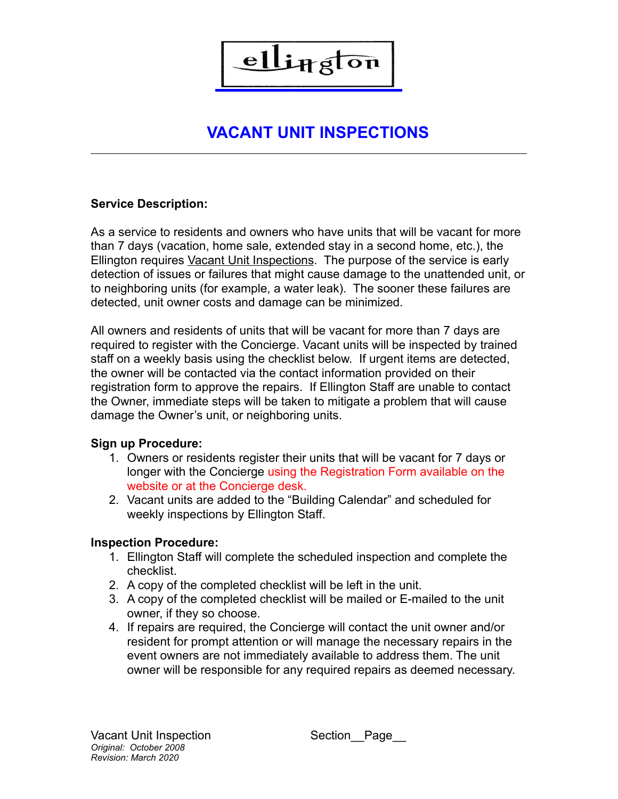

## **VACANT UNIT INSPECTIONS**

### **Service Description:**

As a service to residents and owners who have units that will be vacant for more than 7 days (vacation, home sale, extended stay in a second home, etc.), the Ellington requires Vacant Unit Inspections. The purpose of the service is early detection of issues or failures that might cause damage to the unattended unit, or to neighboring units (for example, a water leak). The sooner these failures are detected, unit owner costs and damage can be minimized.

All owners and residents of units that will be vacant for more than 7 days are required to register with the Concierge. Vacant units will be inspected by trained staff on a weekly basis using the checklist below. If urgent items are detected, the owner will be contacted via the contact information provided on their registration form to approve the repairs. If Ellington Staff are unable to contact the Owner, immediate steps will be taken to mitigate a problem that will cause damage the Owner's unit, or neighboring units.

#### **Sign up Procedure:**

- 1. Owners or residents register their units that will be vacant for 7 days or longer with the Concierge using the Registration Form available on the website or at the Concierge desk.
- 2. Vacant units are added to the "Building Calendar" and scheduled for weekly inspections by Ellington Staff.

#### **Inspection Procedure:**

- 1. Ellington Staff will complete the scheduled inspection and complete the checklist.
- 2. A copy of the completed checklist will be left in the unit.
- 3. A copy of the completed checklist will be mailed or E-mailed to the unit owner, if they so choose.
- 4. If repairs are required, the Concierge will contact the unit owner and/or resident for prompt attention or will manage the necessary repairs in the event owners are not immediately available to address them. The unit owner will be responsible for any required repairs as deemed necessary.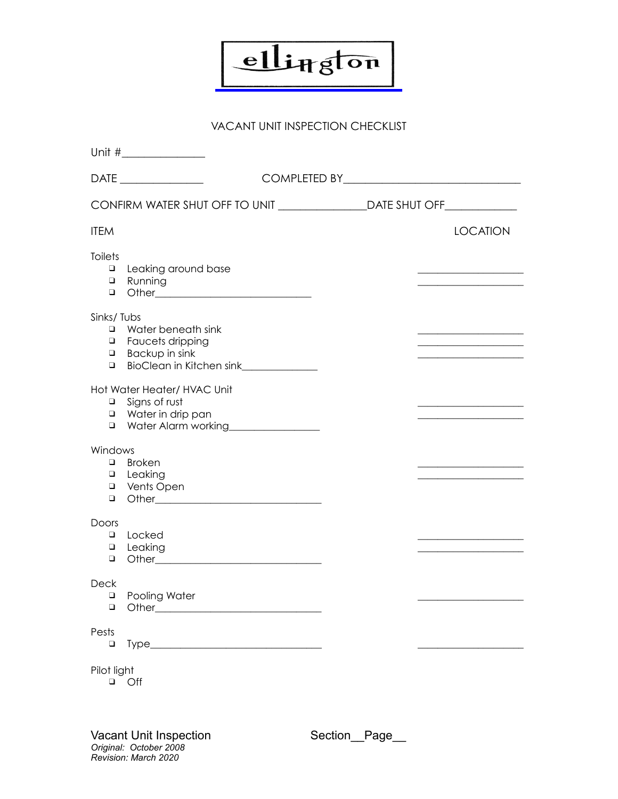

#### VACANT UNIT INSPECTION CHECKLIST

| CONFIRM WATER SHUT OFF TO UNIT ______________________DATE SHUT OFF______________                                                                     |  |                                                   |
|------------------------------------------------------------------------------------------------------------------------------------------------------|--|---------------------------------------------------|
| <b>ITEM</b>                                                                                                                                          |  | <b>LOCATION</b>                                   |
| <b>Toilets</b><br>Leaking around base<br>$\Box$<br><b>Q</b> Running<br>$\Box$                                                                        |  |                                                   |
| Sinks/Tubs<br>Water beneath sink<br>$\Box$<br><b>u</b> Faucets dripping<br>$\Box$ Backup in sink<br>BioClean in Kitchen sink______________<br>$\Box$ |  | <u> 1989 - Johann Barn, mars et al. (b. 1989)</u> |
| Hot Water Heater/ HVAC Unit<br>$\Box$ Signs of rust<br>Water in drip pan<br>Water Alarm working________________                                      |  |                                                   |
| Windows<br>$\Box$ Broken<br><b>u</b> Leaking<br>□ Vents Open                                                                                         |  |                                                   |
| <b>Doors</b><br>Locked<br>$\Box$<br>Leaking<br>$\Box$<br>$\Box$                                                                                      |  |                                                   |
| <b>Deck</b><br><b>D</b> Pooling Water<br>$\Box$                                                                                                      |  |                                                   |
| Pests<br>$\Box$                                                                                                                                      |  |                                                   |
| Pilot light<br>$\Box$ Off                                                                                                                            |  |                                                   |

Vacant Unit Inspection Section\_Page\_\_ *Original: October 2008 Revision: March 2020*